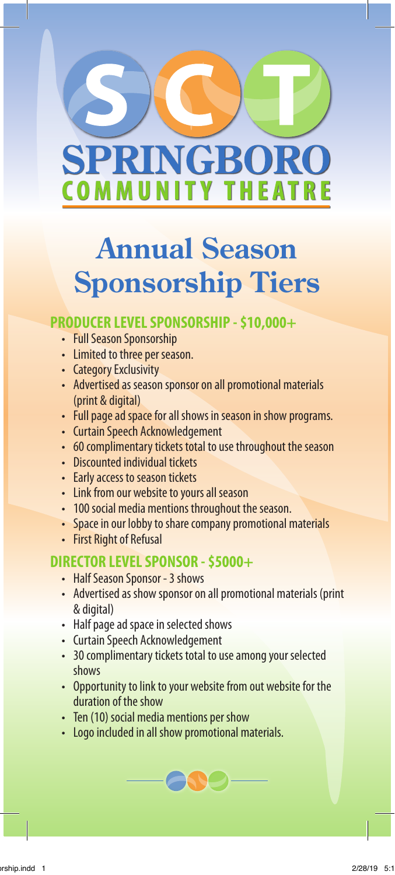

# **Annual Season Sponsorship Tiers**

#### **PRODUCER LEVEL SPONSORSHIP - \$10,000+**

- Full Season Sponsorship
- Limited to three per season.
- Category Exclusivity
- Advertised as season sponsor on all promotional materials (print & digital)
- Full page ad space for all shows in season in show programs.
- Curtain Speech Acknowledgement
- 60 complimentary tickets total to use throughout the season
- Discounted individual tickets
- Early access to season tickets
- Link from our website to yours all season
- 100 social media mentions throughout the season.
- Space in our lobby to share company promotional materials
- First Right of Refusal

#### **DIRECTOR LEVEL SPONSOR - \$5000+**

- Half Season Sponsor 3 shows
- Advertised as show sponsor on all promotional materials (print & digital)
- Half page ad space in selected shows
- Curtain Speech Acknowledgement
- 30 complimentary tickets total to use among your selected shows
- Opportunity to link to your website from out website for the duration of the show
- Ten (10) social media mentions per show
- Logo included in all show promotional materials.